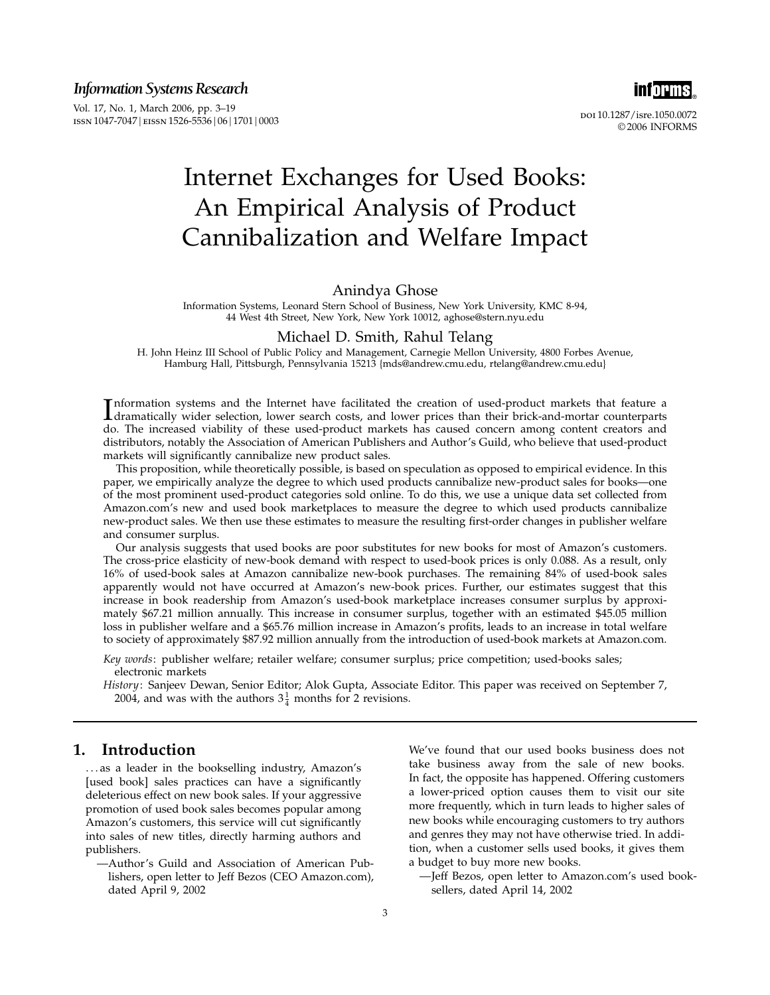*Information Systems Research*

Vol. 17, No. 1, March 2006, pp. 3–19 issn1047-7047 eissn1526-5536 06 1701 0003



doi 10.1287/isre.1050.0072 © 2006 INFORMS

# Internet Exchanges for Used Books: An Empirical Analysis of Product Cannibalization and Welfare Impact

### Anindya Ghose

Information Systems, Leonard Stern School of Business, New York University, KMC 8-94, 44 West 4th Street, New York, New York 10012, aghose@stern.nyu.edu

## Michael D. Smith, Rahul Telang

H. John Heinz III School of Public Policy and Management, Carnegie Mellon University, 4800 Forbes Avenue, Hamburg Hall, Pittsburgh, Pennsylvania 15213 {mds@andrew.cmu.edu, rtelang@andrew.cmu.edu}

Information systems and the Internet have facilitated the creation of used-product markets that feature a<br>dramatically wider selection, lower search costs, and lower prices than their brick-and-mortar counterparts<br>de The i dramatically wider selection, lower search costs, and lower prices than their brick-and-mortar counterparts do. The increased viability of these used-product markets has caused concern among content creators and distributors, notably the Association of American Publishers and Author's Guild, who believe that used-product markets will significantly cannibalize new product sales.

This proposition, while theoretically possible, is based on speculation as opposed to empirical evidence. In this paper, we empirically analyze the degree to which used products cannibalize new-product sales for books—one of the most prominent used-product categories sold online. To do this, we use a unique data set collected from Amazon.com's new and used book marketplaces to measure the degree to which used products cannibalize new-product sales. We then use these estimates to measure the resulting first-order changes in publisher welfare and consumer surplus.

Our analysis suggests that used books are poor substitutes for new books for most of Amazon's customers. The cross-price elasticity of new-book demand with respect to used-book prices is only 0.088. As a result, only 16% of used-book sales at Amazon cannibalize new-book purchases. The remaining 84% of used-book sales apparently would not have occurred at Amazon's new-book prices. Further, our estimates suggest that this increase in book readership from Amazon's used-book marketplace increases consumer surplus by approximately \$67.21 million annually. This increase in consumer surplus, together with an estimated \$45.05 million loss in publisher welfare and a \$65.76 million increase in Amazon's profits, leads to an increase in total welfare to society of approximately \$87.92 million annually from the introduction of used-book markets at Amazon.com.

Key words: publisher welfare; retailer welfare; consumer surplus; price competition; used-books sales; electronic markets

History: Sanjeev Dewan, Senior Editor; Alok Gupta, Associate Editor. This paper was received on September 7, 2004, and was with the authors  $3\frac{1}{4}$  months for 2 revisions.

# 1. Introduction

...as a leader in the bookselling industry, Amazon's [used book] sales practices can have a significantly deleterious effect on new book sales. If your aggressive promotion of used book sales becomes popular among Amazon's customers, this service will cut significantly into sales of new titles, directly harming authors and publishers.

—Author's Guild and Association of American Publishers, open letter to Jeff Bezos (CEO Amazon.com), dated April 9, 2002

We've found that our used books business does not take business away from the sale of new books. In fact, the opposite has happened. Offering customers a lower-priced option causes them to visit our site more frequently, which in turn leads to higher sales of new books while encouraging customers to try authors and genres they may not have otherwise tried. In addition, when a customer sells used books, it gives them a budget to buy more new books.

—Jeff Bezos, open letter to Amazon.com's used booksellers, dated April 14, 2002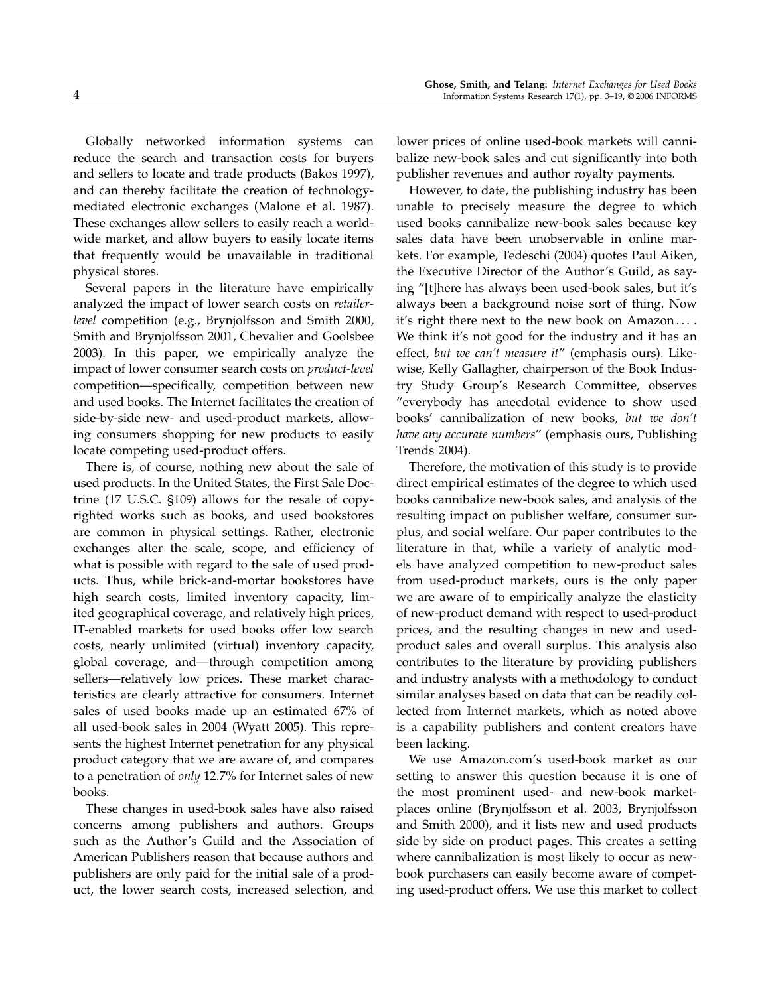Globally networked information systems can reduce the search and transaction costs for buyers and sellers to locate and trade products (Bakos 1997), and can thereby facilitate the creation of technologymediated electronic exchanges (Malone et al. 1987). These exchanges allow sellers to easily reach a worldwide market, and allow buyers to easily locate items that frequently would be unavailable in traditional physical stores.

Several papers in the literature have empirically analyzed the impact of lower search costs on retailerlevel competition (e.g., Brynjolfsson and Smith 2000, Smith and Brynjolfsson 2001, Chevalier and Goolsbee 2003). In this paper, we empirically analyze the impact of lower consumer search costs on product-level competition—specifically, competition between new and used books. The Internet facilitates the creation of side-by-side new- and used-product markets, allowing consumers shopping for new products to easily locate competing used-product offers.

There is, of course, nothing new about the sale of used products. In the United States, the First Sale Doctrine (17 U.S.C. §109) allows for the resale of copyrighted works such as books, and used bookstores are common in physical settings. Rather, electronic exchanges alter the scale, scope, and efficiency of what is possible with regard to the sale of used products. Thus, while brick-and-mortar bookstores have high search costs, limited inventory capacity, limited geographical coverage, and relatively high prices, IT-enabled markets for used books offer low search costs, nearly unlimited (virtual) inventory capacity, global coverage, and—through competition among sellers—relatively low prices. These market characteristics are clearly attractive for consumers. Internet sales of used books made up an estimated 67% of all used-book sales in 2004 (Wyatt 2005). This represents the highest Internet penetration for any physical product category that we are aware of, and compares to a penetration of only 12.7% for Internet sales of new books.

These changes in used-book sales have also raised concerns among publishers and authors. Groups such as the Author's Guild and the Association of American Publishers reason that because authors and publishers are only paid for the initial sale of a product, the lower search costs, increased selection, and

lower prices of online used-book markets will cannibalize new-book sales and cut significantly into both publisher revenues and author royalty payments.

However, to date, the publishing industry has been unable to precisely measure the degree to which used books cannibalize new-book sales because key sales data have been unobservable in online markets. For example, Tedeschi (2004) quotes Paul Aiken, the Executive Director of the Author's Guild, as saying "[t]here has always been used-book sales, but it's always been a background noise sort of thing. Now it's right there next to the new book on Amazon We think it's not good for the industry and it has an effect, but we can't measure it" (emphasis ours). Likewise, Kelly Gallagher, chairperson of the Book Industry Study Group's Research Committee, observes "everybody has anecdotal evidence to show used books' cannibalization of new books, but we don't have any accurate numbers" (emphasis ours, Publishing Trends 2004).

Therefore, the motivation of this study is to provide direct empirical estimates of the degree to which used books cannibalize new-book sales, and analysis of the resulting impact on publisher welfare, consumer surplus, and social welfare. Our paper contributes to the literature in that, while a variety of analytic models have analyzed competition to new-product sales from used-product markets, ours is the only paper we are aware of to empirically analyze the elasticity of new-product demand with respect to used-product prices, and the resulting changes in new and usedproduct sales and overall surplus. This analysis also contributes to the literature by providing publishers and industry analysts with a methodology to conduct similar analyses based on data that can be readily collected from Internet markets, which as noted above is a capability publishers and content creators have been lacking.

We use Amazon.com's used-book market as our setting to answer this question because it is one of the most prominent used- and new-book marketplaces online (Brynjolfsson et al. 2003, Brynjolfsson and Smith 2000), and it lists new and used products side by side on product pages. This creates a setting where cannibalization is most likely to occur as newbook purchasers can easily become aware of competing used-product offers. We use this market to collect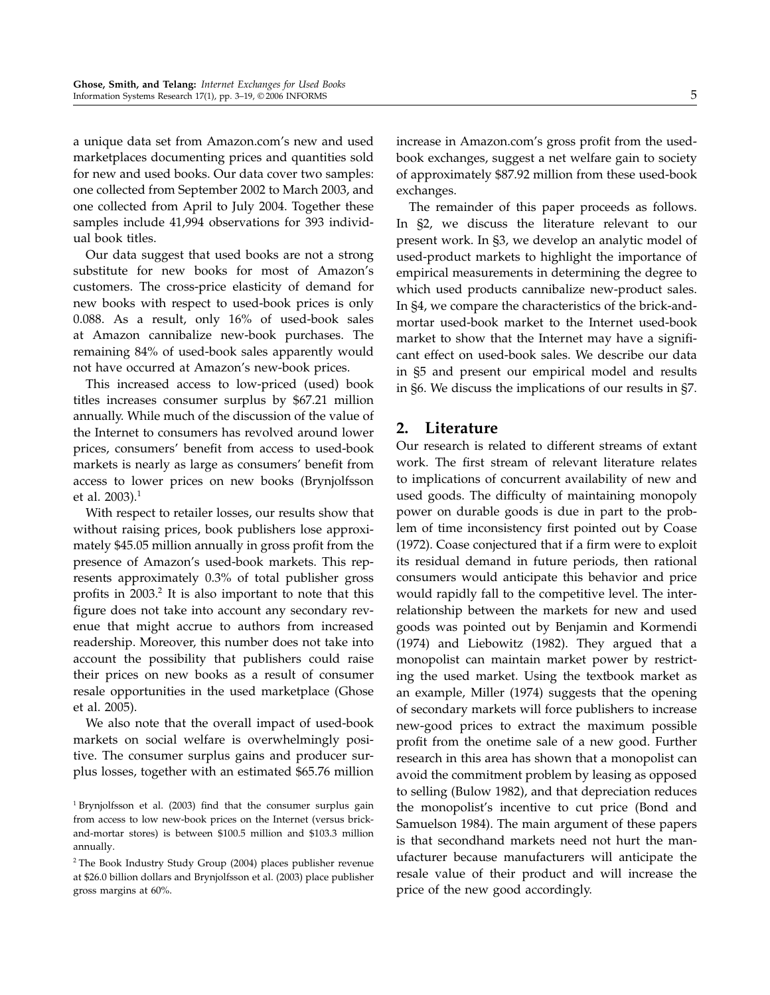a unique data set from Amazon.com's new and used marketplaces documenting prices and quantities sold for new and used books. Our data cover two samples: one collected from September 2002 to March 2003, and one collected from April to July 2004. Together these samples include 41,994 observations for 393 individual book titles.

Our data suggest that used books are not a strong substitute for new books for most of Amazon's customers. The cross-price elasticity of demand for new books with respect to used-book prices is only 0.088. As a result, only 16% of used-book sales at Amazon cannibalize new-book purchases. The remaining 84% of used-book sales apparently would not have occurred at Amazon's new-book prices.

This increased access to low-priced (used) book titles increases consumer surplus by \$67.21 million annually. While much of the discussion of the value of the Internet to consumers has revolved around lower prices, consumers' benefit from access to used-book markets is nearly as large as consumers' benefit from access to lower prices on new books (Brynjolfsson et al. 2003).<sup>1</sup>

With respect to retailer losses, our results show that without raising prices, book publishers lose approximately \$45.05 million annually in gross profit from the presence of Amazon's used-book markets. This represents approximately 0.3% of total publisher gross profits in 2003.<sup>2</sup> It is also important to note that this figure does not take into account any secondary revenue that might accrue to authors from increased readership. Moreover, this number does not take into account the possibility that publishers could raise their prices on new books as a result of consumer resale opportunities in the used marketplace (Ghose et al. 2005).

We also note that the overall impact of used-book markets on social welfare is overwhelmingly positive. The consumer surplus gains and producer surplus losses, together with an estimated \$65.76 million

increase in Amazon.com's gross profit from the usedbook exchanges, suggest a net welfare gain to society of approximately \$87.92 million from these used-book exchanges.

The remainder of this paper proceeds as follows. In §2, we discuss the literature relevant to our present work. In §3, we develop an analytic model of used-product markets to highlight the importance of empirical measurements in determining the degree to which used products cannibalize new-product sales. In §4, we compare the characteristics of the brick-andmortar used-book market to the Internet used-book market to show that the Internet may have a significant effect on used-book sales. We describe our data in §5 and present our empirical model and results in §6. We discuss the implications of our results in §7.

# 2. Literature

Our research is related to different streams of extant work. The first stream of relevant literature relates to implications of concurrent availability of new and used goods. The difficulty of maintaining monopoly power on durable goods is due in part to the problem of time inconsistency first pointed out by Coase (1972). Coase conjectured that if a firm were to exploit its residual demand in future periods, then rational consumers would anticipate this behavior and price would rapidly fall to the competitive level. The interrelationship between the markets for new and used goods was pointed out by Benjamin and Kormendi (1974) and Liebowitz (1982). They argued that a monopolist can maintain market power by restricting the used market. Using the textbook market as an example, Miller (1974) suggests that the opening of secondary markets will force publishers to increase new-good prices to extract the maximum possible profit from the onetime sale of a new good. Further research in this area has shown that a monopolist can avoid the commitment problem by leasing as opposed to selling (Bulow 1982), and that depreciation reduces the monopolist's incentive to cut price (Bond and Samuelson 1984). The main argument of these papers is that secondhand markets need not hurt the manufacturer because manufacturers will anticipate the resale value of their product and will increase the price of the new good accordingly.

<sup>&</sup>lt;sup>1</sup> Brynjolfsson et al. (2003) find that the consumer surplus gain from access to low new-book prices on the Internet (versus brickand-mortar stores) is between \$100.5 million and \$103.3 million annually.

<sup>2</sup> The Book Industry Study Group (2004) places publisher revenue at \$26.0 billion dollars and Brynjolfsson et al. (2003) place publisher gross margins at 60%.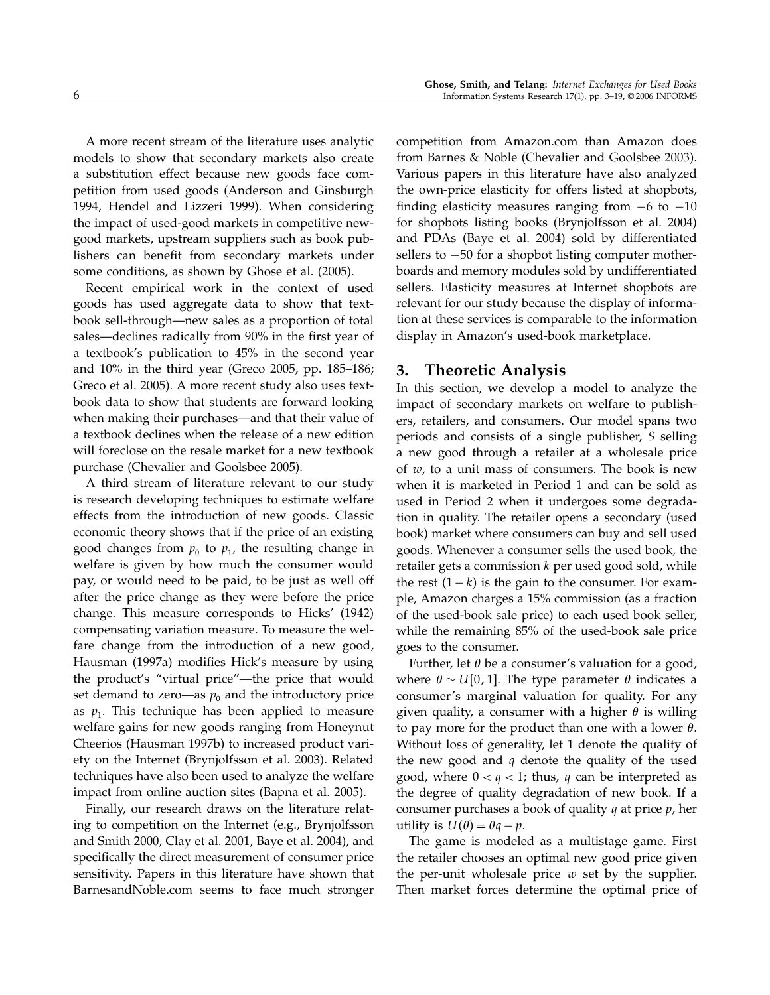A more recent stream of the literature uses analytic models to show that secondary markets also create a substitution effect because new goods face competition from used goods (Anderson and Ginsburgh 1994, Hendel and Lizzeri 1999). When considering the impact of used-good markets in competitive newgood markets, upstream suppliers such as book publishers can benefit from secondary markets under some conditions, as shown by Ghose et al. (2005).

Recent empirical work in the context of used goods has used aggregate data to show that textbook sell-through—new sales as a proportion of total sales—declines radically from 90% in the first year of a textbook's publication to 45% in the second year and 10% in the third year (Greco 2005, pp. 185–186; Greco et al. 2005). A more recent study also uses textbook data to show that students are forward looking when making their purchases—and that their value of a textbook declines when the release of a new edition will foreclose on the resale market for a new textbook purchase (Chevalier and Goolsbee 2005).

A third stream of literature relevant to our study is research developing techniques to estimate welfare effects from the introduction of new goods. Classic economic theory shows that if the price of an existing good changes from  $p_0$  to  $p_1$ , the resulting change in welfare is given by how much the consumer would pay, or would need to be paid, to be just as well off after the price change as they were before the price change. This measure corresponds to Hicks' (1942) compensating variation measure. To measure the welfare change from the introduction of a new good, Hausman (1997a) modifies Hick's measure by using the product's "virtual price"—the price that would set demand to zero—as  $p_0$  and the introductory price as  $p_1$ . This technique has been applied to measure welfare gains for new goods ranging from Honeynut Cheerios (Hausman 1997b) to increased product variety on the Internet (Brynjolfsson et al. 2003). Related techniques have also been used to analyze the welfare impact from online auction sites (Bapna et al. 2005).

Finally, our research draws on the literature relating to competition on the Internet (e.g., Brynjolfsson and Smith 2000, Clay et al. 2001, Baye et al. 2004), and specifically the direct measurement of consumer price sensitivity. Papers in this literature have shown that BarnesandNoble.com seems to face much stronger competition from Amazon.com than Amazon does from Barnes & Noble (Chevalier and Goolsbee 2003). Various papers in this literature have also analyzed the own-price elasticity for offers listed at shopbots, finding elasticity measures ranging from −6 to −10 for shopbots listing books (Brynjolfsson et al. 2004) and PDAs (Baye et al. 2004) sold by differentiated sellers to  $-50$  for a shopbot listing computer motherboards and memory modules sold by undifferentiated sellers. Elasticity measures at Internet shopbots are relevant for our study because the display of information at these services is comparable to the information display in Amazon's used-book marketplace.

# 3. Theoretic Analysis

In this section, we develop a model to analyze the impact of secondary markets on welfare to publishers, retailers, and consumers. Our model spans two periods and consists of a single publisher, S selling a new good through a retailer at a wholesale price of  $w$ , to a unit mass of consumers. The book is new when it is marketed in Period 1 and can be sold as used in Period 2 when it undergoes some degradation in quality. The retailer opens a secondary (used book) market where consumers can buy and sell used goods. Whenever a consumer sells the used book, the retailer gets a commission  $k$  per used good sold, while the rest  $(1-k)$  is the gain to the consumer. For example, Amazon charges a 15% commission (as a fraction of the used-book sale price) to each used book seller, while the remaining 85% of the used-book sale price goes to the consumer.

Further, let  $\theta$  be a consumer's valuation for a good, where  $\theta \sim U[0,1]$ . The type parameter  $\theta$  indicates a consumer's marginal valuation for quality. For any given quality, a consumer with a higher  $\theta$  is willing to pay more for the product than one with a lower  $\theta$ . Without loss of generality, let 1 denote the quality of the new good and  $q$  denote the quality of the used good, where  $0 < q < 1$ ; thus, q can be interpreted as the degree of quality degradation of new book. If a consumer purchases a book of quality  $q$  at price  $p$ , her utility is  $U(\theta) = \theta q - p$ .

The game is modeled as a multistage game. First the retailer chooses an optimal new good price given the per-unit wholesale price  $w$  set by the supplier. Then market forces determine the optimal price of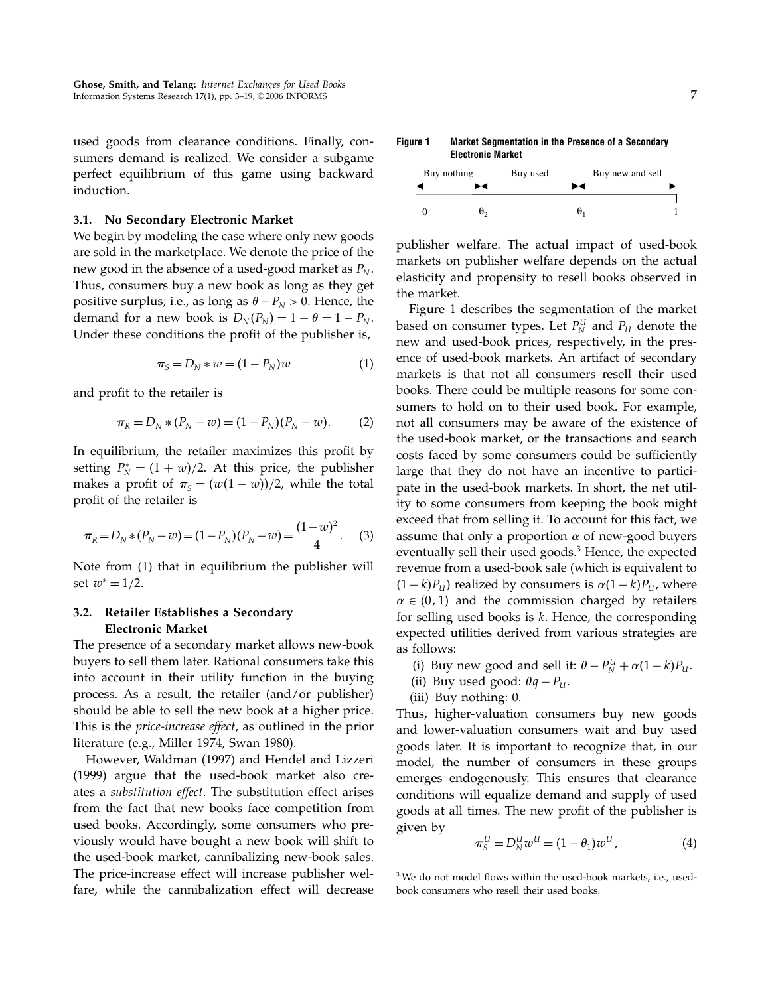used goods from clearance conditions. Finally, consumers demand is realized. We consider a subgame perfect equilibrium of this game using backward induction.

#### 3.1. No Secondary Electronic Market

We begin by modeling the case where only new goods are sold in the marketplace. We denote the price of the new good in the absence of a used-good market as  $P_N$ . Thus, consumers buy a new book as long as they get positive surplus; i.e., as long as  $\theta - P_N > 0$ . Hence, the demand for a new book is  $D_N(P_N) = 1 - \theta = 1 - P_N$ . Under these conditions the profit of the publisher is,

$$
\pi_S = D_N * w = (1 - P_N)w \tag{1}
$$

and profit to the retailer is

$$
\pi_R = D_N * (P_N - w) = (1 - P_N)(P_N - w). \tag{2}
$$

In equilibrium, the retailer maximizes this profit by setting  $P_N^* = (1+w)/2$ . At this price, the publisher makes a profit of  $\pi_s = (w(1 - w))/2$ , while the total profit of the retailer is

$$
\pi_R = D_N * (P_N - w) = (1 - P_N)(P_N - w) = \frac{(1 - w)^2}{4}.
$$
 (3)

Note from (1) that in equilibrium the publisher will set  $w^* = 1/2$ .

## 3.2. Retailer Establishes a Secondary Electronic Market

The presence of a secondary market allows new-book buyers to sell them later. Rational consumers take this into account in their utility function in the buying process. As a result, the retailer (and/or publisher) should be able to sell the new book at a higher price. This is the price-increase effect, as outlined in the prior literature (e.g., Miller 1974, Swan 1980).

However, Waldman (1997) and Hendel and Lizzeri (1999) argue that the used-book market also creates a substitution effect. The substitution effect arises from the fact that new books face competition from used books. Accordingly, some consumers who previously would have bought a new book will shift to the used-book market, cannibalizing new-book sales. The price-increase effect will increase publisher welfare, while the cannibalization effect will decrease





publisher welfare. The actual impact of used-book markets on publisher welfare depends on the actual elasticity and propensity to resell books observed in the market.

Figure 1 describes the segmentation of the market based on consumer types. Let  $P_N^U$  and  $P_U$  denote the new and used-book prices, respectively, in the presence of used-book markets. An artifact of secondary markets is that not all consumers resell their used books. There could be multiple reasons for some consumers to hold on to their used book. For example, not all consumers may be aware of the existence of the used-book market, or the transactions and search costs faced by some consumers could be sufficiently large that they do not have an incentive to participate in the used-book markets. In short, the net utility to some consumers from keeping the book might exceed that from selling it. To account for this fact, we assume that only a proportion  $\alpha$  of new-good buyers eventually sell their used goods.<sup>3</sup> Hence, the expected revenue from a used-book sale (which is equivalent to  $(1-k)P_U$ ) realized by consumers is  $\alpha(1-k)P_U$ , where  $\alpha \in (0, 1)$  and the commission charged by retailers for selling used books is  $k$ . Hence, the corresponding expected utilities derived from various strategies are as follows:

- (i) Buy new good and sell it:  $\theta P_N^U + \alpha (1 k) P_U$ .
- (ii) Buy used good:  $\theta q P_U$ .
- (iii) Buy nothing: 0.

Thus, higher-valuation consumers buy new goods and lower-valuation consumers wait and buy used goods later. It is important to recognize that, in our model, the number of consumers in these groups emerges endogenously. This ensures that clearance conditions will equalize demand and supply of used goods at all times. The new profit of the publisher is given by

$$
\pi_S^U = D_N^U w^U = (1 - \theta_1) w^U, \tag{4}
$$

<sup>3</sup> We do not model flows within the used-book markets, i.e., usedbook consumers who resell their used books.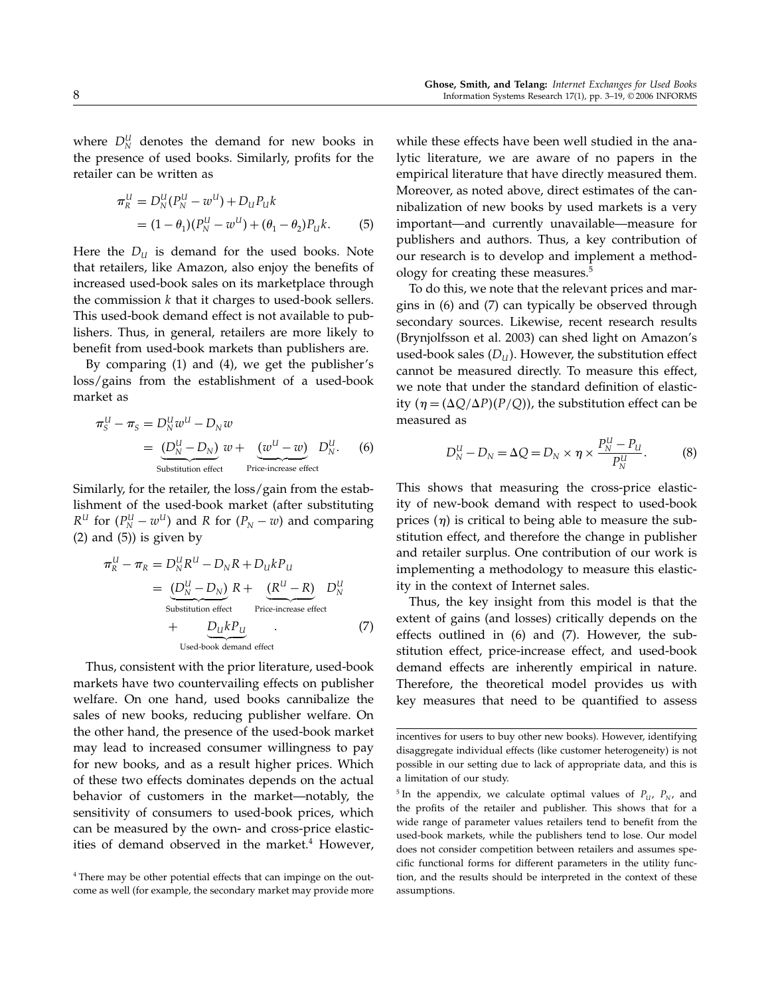where  $D_N^U$  denotes the demand for new books in the presence of used books. Similarly, profits for the retailer can be written as

$$
\pi_R^U = D_N^U (P_N^U - w^U) + D_U P_U k
$$
  
=  $(1 - \theta_1)(P_N^U - w^U) + (\theta_1 - \theta_2) P_U k.$  (5)

Here the  $D_U$  is demand for the used books. Note that retailers, like Amazon, also enjoy the benefits of increased used-book sales on its marketplace through the commission  $k$  that it charges to used-book sellers. This used-book demand effect is not available to publishers. Thus, in general, retailers are more likely to benefit from used-book markets than publishers are.

By comparing (1) and (4), we get the publisher's loss/gains from the establishment of a used-book market as

$$
\pi_S^U - \pi_S = D_N^U w^U - D_N w
$$
  
= 
$$
\underbrace{(D_N^U - D_N)}_{\text{Substitution effect}} w + \underbrace{(w^U - w)}_{\text{Price-increase effect}} D_N^U. \tag{6}
$$

Similarly, for the retailer, the loss/gain from the establishment of the used-book market (after substituting  $R^U$  for  $(P_N^U - w^U)$  and R for  $(P_N - w)$  and comparing  $(2)$  and  $(5)$ ) is given by

$$
\pi_R^U - \pi_R = D_N^U R^U - D_N R + D_U k P_U
$$
  
= 
$$
\underbrace{(D_N^U - D_N)}_{\text{Substitution effect}} R + \underbrace{(R^U - R)}_{\text{Price-increase effect}} D_N^U
$$
  
+ 
$$
\underbrace{D_U k P_U}_{\text{Used-book demand effect}}.
$$
 (7)

Thus, consistent with the prior literature, used-book markets have two countervailing effects on publisher welfare. On one hand, used books cannibalize the sales of new books, reducing publisher welfare. On the other hand, the presence of the used-book market may lead to increased consumer willingness to pay for new books, and as a result higher prices. Which of these two effects dominates depends on the actual behavior of customers in the market—notably, the sensitivity of consumers to used-book prices, which can be measured by the own- and cross-price elasticities of demand observed in the market. $4$  However,

while these effects have been well studied in the analytic literature, we are aware of no papers in the empirical literature that have directly measured them. Moreover, as noted above, direct estimates of the cannibalization of new books by used markets is a very important—and currently unavailable—measure for publishers and authors. Thus, a key contribution of our research is to develop and implement a methodology for creating these measures.<sup>5</sup>

To do this, we note that the relevant prices and margins in (6) and (7) can typically be observed through secondary sources. Likewise, recent research results (Brynjolfsson et al. 2003) can shed light on Amazon's used-book sales  $(D_U)$ . However, the substitution effect cannot be measured directly. To measure this effect, we note that under the standard definition of elasticity  $(\eta = (\Delta Q/\Delta P)(P/Q))$ , the substitution effect can be measured as

$$
D_N^U - D_N = \Delta Q = D_N \times \eta \times \frac{P_N^U - P_U}{P_N^U}.
$$
 (8)

This shows that measuring the cross-price elasticity of new-book demand with respect to used-book prices  $(\eta)$  is critical to being able to measure the substitution effect, and therefore the change in publisher and retailer surplus. One contribution of our work is implementing a methodology to measure this elasticity in the context of Internet sales.

Thus, the key insight from this model is that the extent of gains (and losses) critically depends on the effects outlined in (6) and (7). However, the substitution effect, price-increase effect, and used-book demand effects are inherently empirical in nature. Therefore, the theoretical model provides us with key measures that need to be quantified to assess

<sup>&</sup>lt;sup>4</sup> There may be other potential effects that can impinge on the outcome as well (for example, the secondary market may provide more

incentives for users to buy other new books). However, identifying disaggregate individual effects (like customer heterogeneity) is not possible in our setting due to lack of appropriate data, and this is a limitation of our study.

<sup>&</sup>lt;sup>5</sup> In the appendix, we calculate optimal values of  $P_{U}$ ,  $P_{N}$ , and the profits of the retailer and publisher. This shows that for a wide range of parameter values retailers tend to benefit from the used-book markets, while the publishers tend to lose. Our model does not consider competition between retailers and assumes specific functional forms for different parameters in the utility function, and the results should be interpreted in the context of these assumptions.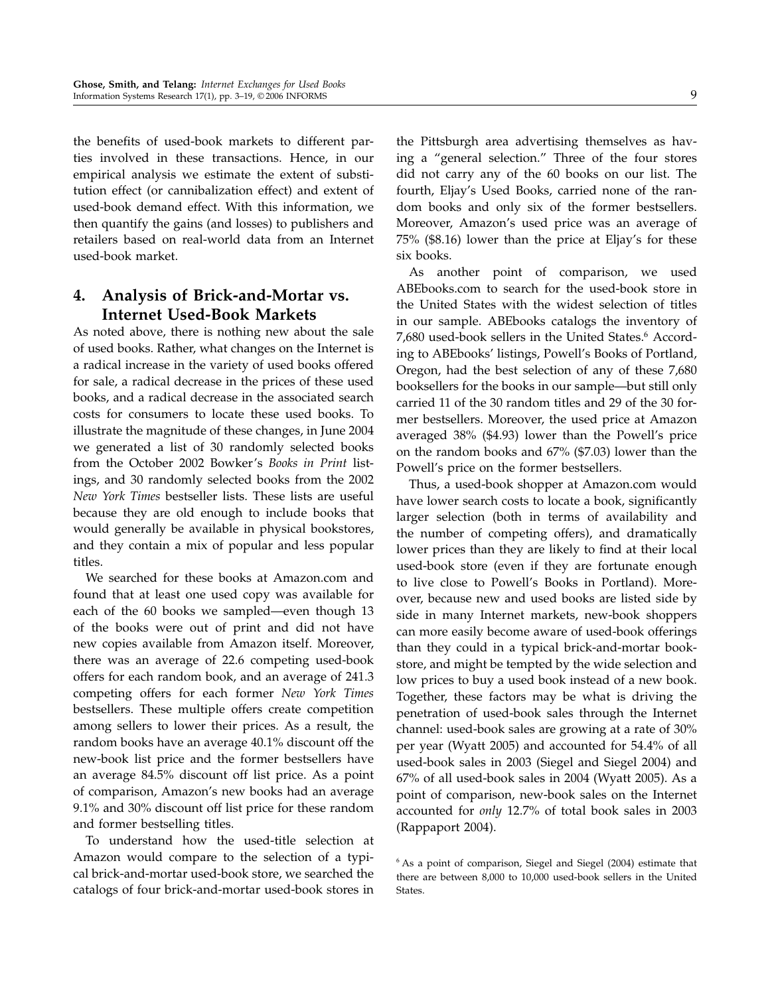the benefits of used-book markets to different parties involved in these transactions. Hence, in our empirical analysis we estimate the extent of substitution effect (or cannibalization effect) and extent of used-book demand effect. With this information, we then quantify the gains (and losses) to publishers and retailers based on real-world data from an Internet used-book market.

# 4. Analysis of Brick-and-Mortar vs. Internet Used-BookMarkets

As noted above, there is nothing new about the sale of used books. Rather, what changes on the Internet is a radical increase in the variety of used books offered for sale, a radical decrease in the prices of these used books, and a radical decrease in the associated search costs for consumers to locate these used books. To illustrate the magnitude of these changes, in June 2004 we generated a list of 30 randomly selected books from the October 2002 Bowker's Books in Print listings, and 30 randomly selected books from the 2002 New York Times bestseller lists. These lists are useful because they are old enough to include books that would generally be available in physical bookstores, and they contain a mix of popular and less popular titles.

We searched for these books at Amazon.com and found that at least one used copy was available for each of the 60 books we sampled—even though 13 of the books were out of print and did not have new copies available from Amazon itself. Moreover, there was an average of 22.6 competing used-book offers for each random book, and an average of 241.3 competing offers for each former New York Times bestsellers. These multiple offers create competition among sellers to lower their prices. As a result, the random books have an average 40.1% discount off the new-book list price and the former bestsellers have an average 84.5% discount off list price. As a point of comparison, Amazon's new books had an average 9.1% and 30% discount off list price for these random and former bestselling titles.

To understand how the used-title selection at Amazon would compare to the selection of a typical brick-and-mortar used-book store, we searched the catalogs of four brick-and-mortar used-book stores in

the Pittsburgh area advertising themselves as having a "general selection." Three of the four stores did not carry any of the 60 books on our list. The fourth, Eljay's Used Books, carried none of the random books and only six of the former bestsellers. Moreover, Amazon's used price was an average of 75% (\$8.16) lower than the price at Eljay's for these six books.

As another point of comparison, we used ABEbooks.com to search for the used-book store in the United States with the widest selection of titles in our sample. ABEbooks catalogs the inventory of 7,680 used-book sellers in the United States.<sup>6</sup> According to ABEbooks' listings, Powell's Books of Portland, Oregon, had the best selection of any of these 7,680 booksellers for the books in our sample—but still only carried 11 of the 30 random titles and 29 of the 30 former bestsellers. Moreover, the used price at Amazon averaged 38% (\$4.93) lower than the Powell's price on the random books and 67% (\$7.03) lower than the Powell's price on the former bestsellers.

Thus, a used-book shopper at Amazon.com would have lower search costs to locate a book, significantly larger selection (both in terms of availability and the number of competing offers), and dramatically lower prices than they are likely to find at their local used-book store (even if they are fortunate enough to live close to Powell's Books in Portland). Moreover, because new and used books are listed side by side in many Internet markets, new-book shoppers can more easily become aware of used-book offerings than they could in a typical brick-and-mortar bookstore, and might be tempted by the wide selection and low prices to buy a used book instead of a new book. Together, these factors may be what is driving the penetration of used-book sales through the Internet channel: used-book sales are growing at a rate of 30% per year (Wyatt 2005) and accounted for 54.4% of all used-book sales in 2003 (Siegel and Siegel 2004) and 67% of all used-book sales in 2004 (Wyatt 2005). As a point of comparison, new-book sales on the Internet accounted for only 12.7% of total book sales in 2003 (Rappaport 2004).

<sup>6</sup> As a point of comparison, Siegel and Siegel (2004) estimate that there are between 8,000 to 10,000 used-book sellers in the United States.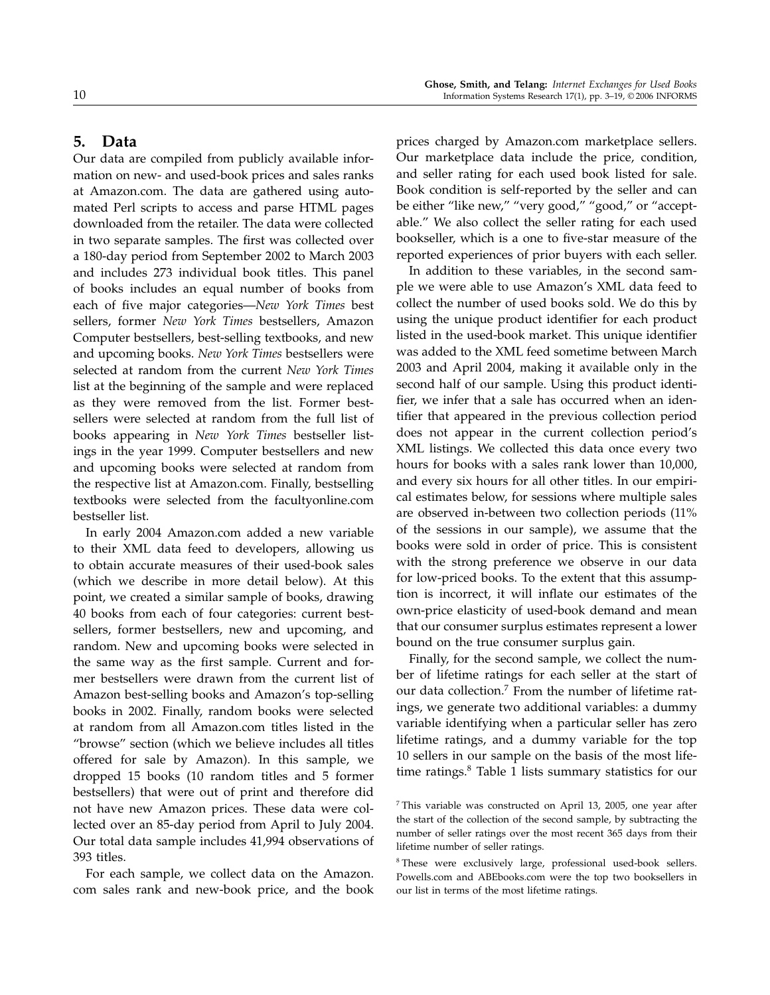Our data are compiled from publicly available information on new- and used-book prices and sales ranks at Amazon.com. The data are gathered using automated Perl scripts to access and parse HTML pages downloaded from the retailer. The data were collected in two separate samples. The first was collected over a 180-day period from September 2002 to March 2003 and includes 273 individual book titles. This panel of books includes an equal number of books from each of five major categories—New York Times best sellers, former New York Times bestsellers, Amazon Computer bestsellers, best-selling textbooks, and new and upcoming books. New York Times bestsellers were selected at random from the current New York Times list at the beginning of the sample and were replaced as they were removed from the list. Former bestsellers were selected at random from the full list of books appearing in New York Times bestseller listings in the year 1999. Computer bestsellers and new and upcoming books were selected at random from the respective list at Amazon.com. Finally, bestselling textbooks were selected from the facultyonline.com bestseller list.

In early 2004 Amazon.com added a new variable to their XML data feed to developers, allowing us to obtain accurate measures of their used-book sales (which we describe in more detail below). At this point, we created a similar sample of books, drawing 40 books from each of four categories: current bestsellers, former bestsellers, new and upcoming, and random. New and upcoming books were selected in the same way as the first sample. Current and former bestsellers were drawn from the current list of Amazon best-selling books and Amazon's top-selling books in 2002. Finally, random books were selected at random from all Amazon.com titles listed in the "browse" section (which we believe includes all titles offered for sale by Amazon). In this sample, we dropped 15 books (10 random titles and 5 former bestsellers) that were out of print and therefore did not have new Amazon prices. These data were collected over an 85-day period from April to July 2004. Our total data sample includes 41,994 observations of 393 titles.

For each sample, we collect data on the Amazon. com sales rank and new-book price, and the book prices charged by Amazon.com marketplace sellers. Our marketplace data include the price, condition, and seller rating for each used book listed for sale. Book condition is self-reported by the seller and can be either "like new," "very good," "good," or "acceptable." We also collect the seller rating for each used bookseller, which is a one to five-star measure of the reported experiences of prior buyers with each seller.

In addition to these variables, in the second sample we were able to use Amazon's XML data feed to collect the number of used books sold. We do this by using the unique product identifier for each product listed in the used-book market. This unique identifier was added to the XML feed sometime between March 2003 and April 2004, making it available only in the second half of our sample. Using this product identifier, we infer that a sale has occurred when an identifier that appeared in the previous collection period does not appear in the current collection period's XML listings. We collected this data once every two hours for books with a sales rank lower than 10,000, and every six hours for all other titles. In our empirical estimates below, for sessions where multiple sales are observed in-between two collection periods (11% of the sessions in our sample), we assume that the books were sold in order of price. This is consistent with the strong preference we observe in our data for low-priced books. To the extent that this assumption is incorrect, it will inflate our estimates of the own-price elasticity of used-book demand and mean that our consumer surplus estimates represent a lower bound on the true consumer surplus gain.

Finally, for the second sample, we collect the number of lifetime ratings for each seller at the start of our data collection.<sup>7</sup> From the number of lifetime ratings, we generate two additional variables: a dummy variable identifying when a particular seller has zero lifetime ratings, and a dummy variable for the top 10 sellers in our sample on the basis of the most lifetime ratings. $8$  Table 1 lists summary statistics for our

<sup>7</sup> This variable was constructed on April 13, 2005, one year after the start of the collection of the second sample, by subtracting the number of seller ratings over the most recent 365 days from their lifetime number of seller ratings.

<sup>8</sup> These were exclusively large, professional used-book sellers. Powells.com and ABEbooks.com were the top two booksellers in our list in terms of the most lifetime ratings.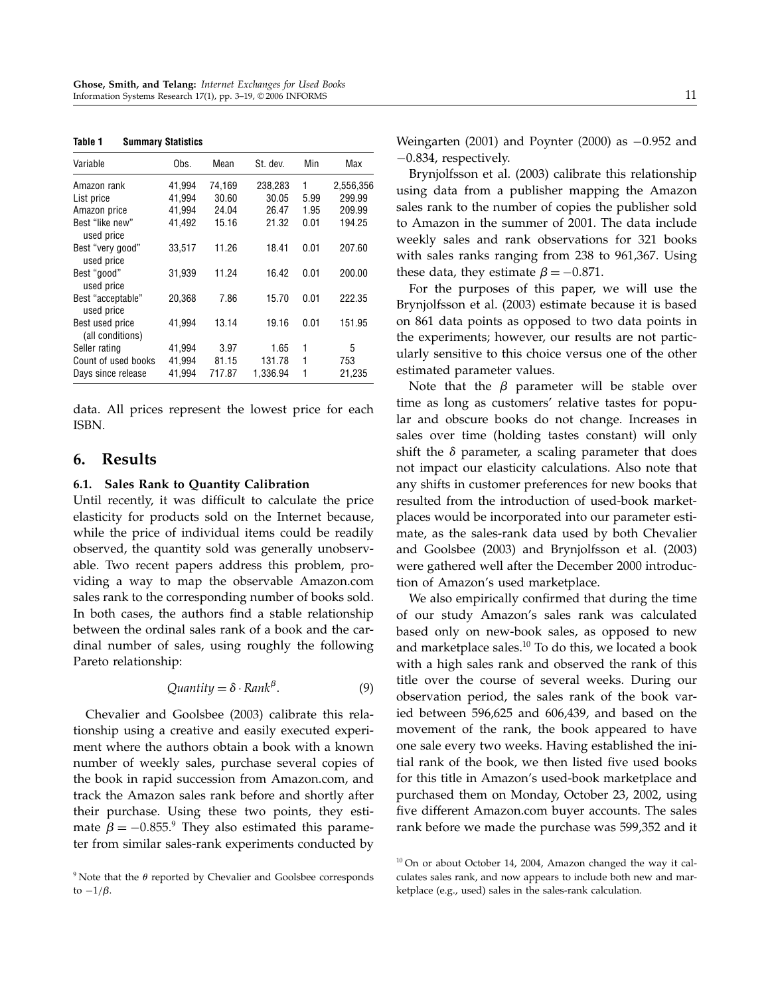| Variable                            | Obs.   | Mean   | St. dev. | Min  | Max       |
|-------------------------------------|--------|--------|----------|------|-----------|
|                                     |        |        |          |      |           |
| Amazon rank                         | 41,994 | 74.169 | 238,283  | 1    | 2,556,356 |
| List price                          | 41,994 | 30.60  | 30.05    | 5.99 | 299.99    |
| Amazon price                        | 41.994 | 24.04  | 26.47    | 1.95 | 209.99    |
| Best "like new"<br>used price       | 41.492 | 15.16  | 21.32    | 0.01 | 194.25    |
| Best "very good"<br>used price      | 33,517 | 11.26  | 18.41    | 0.01 | 207.60    |
| Best "good"<br>used price           | 31,939 | 11.24  | 16.42    | 0.01 | 200.00    |
| Best "acceptable"<br>used price     | 20,368 | 7.86   | 15.70    | 0.01 | 222.35    |
| Best used price<br>(all conditions) | 41,994 | 13.14  | 19.16    | 0.01 | 151.95    |
| Seller rating                       | 41,994 | 3.97   | 1.65     | 1    | 5         |
| Count of used books                 | 41.994 | 81.15  | 131.78   | 1    | 753       |
| Days since release                  | 41,994 | 717.87 | 1.336.94 | 1    | 21,235    |

Table 1 Summary Statistics

data. All prices represent the lowest price for each ISBN.

## 6. Results

## 6.1. Sales Rank to Quantity Calibration

Until recently, it was difficult to calculate the price elasticity for products sold on the Internet because, while the price of individual items could be readily observed, the quantity sold was generally unobservable. Two recent papers address this problem, providing a way to map the observable Amazon.com sales rank to the corresponding number of books sold. In both cases, the authors find a stable relationship between the ordinal sales rank of a book and the cardinal number of sales, using roughly the following Pareto relationship:

$$
Quantity = \delta \cdot Rank^{\beta}. \tag{9}
$$

Chevalier and Goolsbee (2003) calibrate this relationship using a creative and easily executed experiment where the authors obtain a book with a known number of weekly sales, purchase several copies of the book in rapid succession from Amazon.com, and track the Amazon sales rank before and shortly after their purchase. Using these two points, they estimate  $\beta = -0.855$ .<sup>9</sup> They also estimated this parameter from similar sales-rank experiments conducted by Weingarten (2001) and Poynter (2000) as  $-0.952$  and −0834, respectively.

Brynjolfsson et al. (2003) calibrate this relationship using data from a publisher mapping the Amazon sales rank to the number of copies the publisher sold to Amazon in the summer of 2001. The data include weekly sales and rank observations for 321 books with sales ranks ranging from 238 to 961,367. Using these data, they estimate  $\beta = -0.871$ .

For the purposes of this paper, we will use the Brynjolfsson et al. (2003) estimate because it is based on 861 data points as opposed to two data points in the experiments; however, our results are not particularly sensitive to this choice versus one of the other estimated parameter values.

Note that the  $\beta$  parameter will be stable over time as long as customers' relative tastes for popular and obscure books do not change. Increases in sales over time (holding tastes constant) will only shift the  $\delta$  parameter, a scaling parameter that does not impact our elasticity calculations. Also note that any shifts in customer preferences for new books that resulted from the introduction of used-book marketplaces would be incorporated into our parameter estimate, as the sales-rank data used by both Chevalier and Goolsbee (2003) and Brynjolfsson et al. (2003) were gathered well after the December 2000 introduction of Amazon's used marketplace.

We also empirically confirmed that during the time of our study Amazon's sales rank was calculated based only on new-book sales, as opposed to new and marketplace sales.<sup>10</sup> To do this, we located a book with a high sales rank and observed the rank of this title over the course of several weeks. During our observation period, the sales rank of the book varied between 596,625 and 606,439, and based on the movement of the rank, the book appeared to have one sale every two weeks. Having established the initial rank of the book, we then listed five used books for this title in Amazon's used-book marketplace and purchased them on Monday, October 23, 2002, using five different Amazon.com buyer accounts. The sales rank before we made the purchase was 599,352 and it

<sup>&</sup>lt;sup>9</sup> Note that the  $\theta$  reported by Chevalier and Goolsbee corresponds to  $-1/\beta$ .

<sup>10</sup> On or about October 14, 2004, Amazon changed the way it calculates sales rank, and now appears to include both new and marketplace (e.g., used) sales in the sales-rank calculation.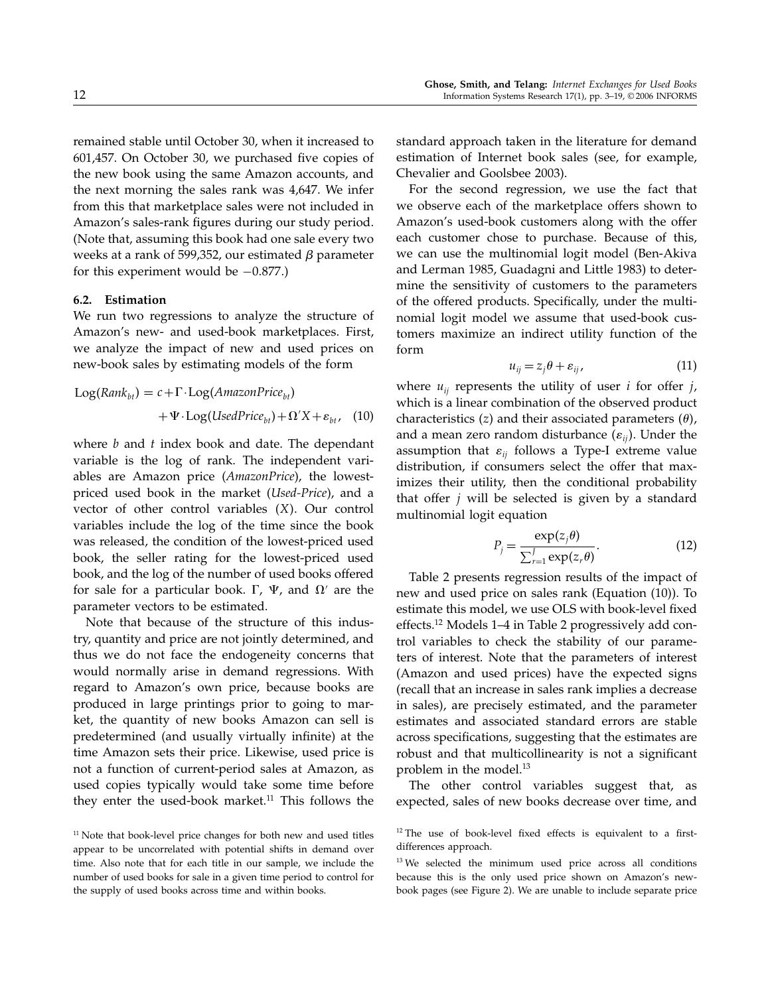remained stable until October 30, when it increased to 601,457. On October 30, we purchased five copies of the new book using the same Amazon accounts, and the next morning the sales rank was 4,647. We infer from this that marketplace sales were not included in Amazon's sales-rank figures during our study period. (Note that, assuming this book had one sale every two weeks at a rank of 599,352, our estimated  $\beta$  parameter for this experiment would be  $-0.877$ .)

## 6.2. Estimation

We run two regressions to analyze the structure of Amazon's new- and used-book marketplaces. First, we analyze the impact of new and used prices on new-book sales by estimating models of the form

$$
Log(Rank_{bt}) = c + \Gamma \cdot Log(AmaxonPrice_{bt})
$$
  
+  $\Psi \cdot Log(UsedPrice_{bt}) + \Omega'X + \varepsilon_{bt}$ , (10)

where  $b$  and  $t$  index book and date. The dependant variable is the log of rank. The independent variables are Amazon price (AmazonPrice), the lowestpriced used book in the market (Used-Price), and a vector of other control variables  $(X)$ . Our control variables include the log of the time since the book was released, the condition of the lowest-priced used book, the seller rating for the lowest-priced used book, and the log of the number of used books offered for sale for a particular book.  $\Gamma$ ,  $\Psi$ , and  $\Omega'$  are the parameter vectors to be estimated.

Note that because of the structure of this industry, quantity and price are not jointly determined, and thus we do not face the endogeneity concerns that would normally arise in demand regressions. With regard to Amazon's own price, because books are produced in large printings prior to going to market, the quantity of new books Amazon can sell is predetermined (and usually virtually infinite) at the time Amazon sets their price. Likewise, used price is not a function of current-period sales at Amazon, as used copies typically would take some time before they enter the used-book market.<sup>11</sup> This follows the

standard approach taken in the literature for demand estimation of Internet book sales (see, for example, Chevalier and Goolsbee 2003).

For the second regression, we use the fact that we observe each of the marketplace offers shown to Amazon's used-book customers along with the offer each customer chose to purchase. Because of this, we can use the multinomial logit model (Ben-Akiva and Lerman 1985, Guadagni and Little 1983) to determine the sensitivity of customers to the parameters of the offered products. Specifically, under the multinomial logit model we assume that used-book customers maximize an indirect utility function of the form

$$
u_{ij} = z_j \theta + \varepsilon_{ij}, \qquad (11)
$$

where  $u_{ij}$  represents the utility of user *i* for offer *j*, which is a linear combination of the observed product characteristics (*z*) and their associated parameters  $(\theta)$ , and a mean zero random disturbance  $(\varepsilon_{ij})$ . Under the assumption that  $\varepsilon_{ij}$  follows a Type-I extreme value distribution, if consumers select the offer that maximizes their utility, then the conditional probability that offer  $j$  will be selected is given by a standard multinomial logit equation

$$
P_j = \frac{\exp(z_j \theta)}{\sum_{r=1}^j \exp(z_r \theta)}.
$$
 (12)

Table 2 presents regression results of the impact of new and used price on sales rank (Equation (10)). To estimate this model, we use OLS with book-level fixed effects.12 Models 1–4 in Table 2 progressively add control variables to check the stability of our parameters of interest. Note that the parameters of interest (Amazon and used prices) have the expected signs (recall that an increase in sales rank implies a decrease in sales), are precisely estimated, and the parameter estimates and associated standard errors are stable across specifications, suggesting that the estimates are robust and that multicollinearity is not a significant problem in the model.<sup>13</sup>

The other control variables suggest that, as expected, sales of new books decrease over time, and

 $11$  Note that book-level price changes for both new and used titles appear to be uncorrelated with potential shifts in demand over time. Also note that for each title in our sample, we include the number of used books for sale in a given time period to control for the supply of used books across time and within books.

<sup>&</sup>lt;sup>12</sup> The use of book-level fixed effects is equivalent to a firstdifferences approach.

<sup>&</sup>lt;sup>13</sup> We selected the minimum used price across all conditions because this is the only used price shown on Amazon's newbook pages (see Figure 2). We are unable to include separate price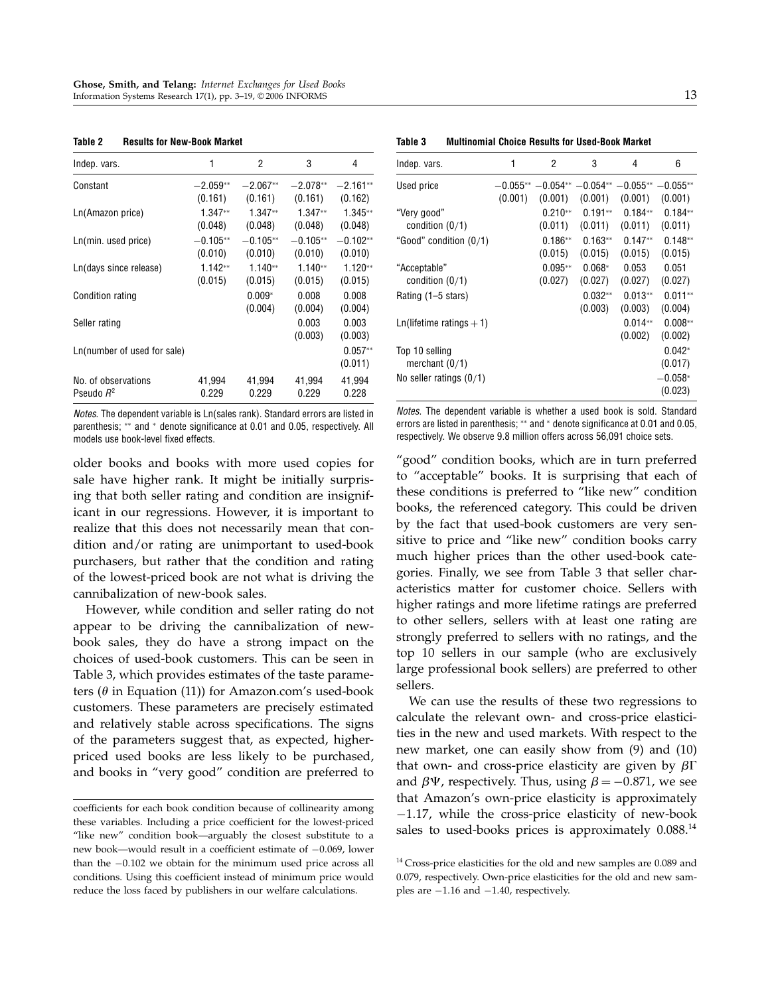| Indep. vars.                | 1          | $\overline{2}$ | 3          | 4          |
|-----------------------------|------------|----------------|------------|------------|
| Constant                    | $-2.059**$ | $-2.067**$     | $-2.078**$ | $-2.161**$ |
|                             | (0.161)    | (0.161)        | (0.161)    | (0.162)    |
| Ln(Amazon price)            | $1.347**$  | $1.347**$      | $1.347**$  | $1.345**$  |
|                             | (0.048)    | (0.048)        | (0.048)    | (0.048)    |
| Ln(min. used price)         | $-0.105**$ | $-0.105**$     | $-0.105**$ | $-0.102**$ |
|                             | (0.010)    | (0.010)        | (0.010)    | (0.010)    |
| Ln(days since release)      | $1.142**$  | $1.140**$      | $1.140**$  | $1.120**$  |
|                             | (0.015)    | (0.015)        | (0.015)    | (0.015)    |
| <b>Condition rating</b>     |            | $0.009*$       | 0.008      | 0.008      |
|                             |            | (0.004)        | (0.004)    | (0.004)    |
| Seller rating               |            |                | 0.003      | 0.003      |
|                             |            |                | (0.003)    | (0.003)    |
| Ln(number of used for sale) |            |                |            | $0.057**$  |
|                             |            |                |            | (0.011)    |
| No. of observations         | 41,994     | 41,994         | 41,994     | 41,994     |
| Pseudo $R^2$                | 0.229      | 0.229          | 0.229      | 0.228      |

Table 2 Results for New-Book Market

Notes. The dependent variable is Ln(sales rank). Standard errors are listed in parenthesis; \*\* and \* denote significance at 0.01 and 0.05, respectively. All models use book-level fixed effects.

older books and books with more used copies for sale have higher rank. It might be initially surprising that both seller rating and condition are insignificant in our regressions. However, it is important to realize that this does not necessarily mean that condition and/or rating are unimportant to used-book purchasers, but rather that the condition and rating of the lowest-priced book are not what is driving the cannibalization of new-book sales.

However, while condition and seller rating do not appear to be driving the cannibalization of newbook sales, they do have a strong impact on the choices of used-book customers. This can be seen in Table 3, which provides estimates of the taste parameters ( $\theta$  in Equation (11)) for Amazon.com's used-book customers. These parameters are precisely estimated and relatively stable across specifications. The signs of the parameters suggest that, as expected, higherpriced used books are less likely to be purchased, and books in "very good" condition are preferred to

Table 3 Multinomial Choice Results for Used-Book Market

| Indep. vars.                       | 1                      | 2                     | 3                     | 4                     | 6                     |
|------------------------------------|------------------------|-----------------------|-----------------------|-----------------------|-----------------------|
| Used price                         | $-0.055***$<br>(0.001) | $-0.054**$<br>(0.001) | $-0.054**$<br>(0.001) | $-0.055**$<br>(0.001) | $-0.055**$<br>(0.001) |
| "Very good"<br>condition $(0/1)$   |                        | $0.210**$<br>(0.011)  | $0.191**$<br>(0.011)  | $0.184**$<br>(0.011)  | $0.184**$<br>(0.011)  |
| "Good" condition (0/1)             |                        | $0.186**$<br>(0.015)  | $0.163**$<br>(0.015)  | $0.147**$<br>(0.015)  | $0.148**$<br>(0.015)  |
| "Acceptable"<br>condition $(0/1)$  |                        | $0.095**$<br>(0.027)  | $0.068*$<br>(0.027)   | 0.053<br>(0.027)      | 0.051<br>(0.027)      |
| Rating (1–5 stars)                 |                        |                       | $0.032**$<br>(0.003)  | $0.013**$<br>(0.003)  | $0.011**$<br>(0.004)  |
| $Ln(lifetime ratings + 1)$         |                        |                       |                       | $0.014**$<br>(0.002)  | $0.008**$<br>(0.002)  |
| Top 10 selling<br>merchant $(0/1)$ |                        |                       |                       |                       | $0.042*$<br>(0.017)   |
| No seller ratings $(0/1)$          |                        |                       |                       |                       | $-0.058*$<br>(0.023)  |

Notes. The dependent variable is whether a used book is sold. Standard errors are listed in parenthesis; \*\* and \* denote significance at 0.01 and 0.05, respectively. We observe 9.8 million offers across 56,091 choice sets.

"good" condition books, which are in turn preferred to "acceptable" books. It is surprising that each of these conditions is preferred to "like new" condition books, the referenced category. This could be driven by the fact that used-book customers are very sensitive to price and "like new" condition books carry much higher prices than the other used-book categories. Finally, we see from Table 3 that seller characteristics matter for customer choice. Sellers with higher ratings and more lifetime ratings are preferred to other sellers, sellers with at least one rating are strongly preferred to sellers with no ratings, and the top 10 sellers in our sample (who are exclusively large professional book sellers) are preferred to other sellers.

We can use the results of these two regressions to calculate the relevant own- and cross-price elasticities in the new and used markets. With respect to the new market, one can easily show from (9) and (10) that own- and cross-price elasticity are given by  $\beta \Gamma$ and  $\beta \Psi$ , respectively. Thus, using  $\beta = -0.871$ , we see that Amazon's own-price elasticity is approximately −117, while the cross-price elasticity of new-book sales to used-books prices is approximately  $0.088$ .<sup>14</sup>

coefficients for each book condition because of collinearity among these variables. Including a price coefficient for the lowest-priced "like new" condition book—arguably the closest substitute to a new book—would result in a coefficient estimate of -0.069, lower than the −0102 we obtain for the minimum used price across all conditions. Using this coefficient instead of minimum price would reduce the loss faced by publishers in our welfare calculations.

<sup>&</sup>lt;sup>14</sup> Cross-price elasticities for the old and new samples are 0.089 and 0.079, respectively. Own-price elasticities for the old and new samples are  $-1.16$  and  $-1.40$ , respectively.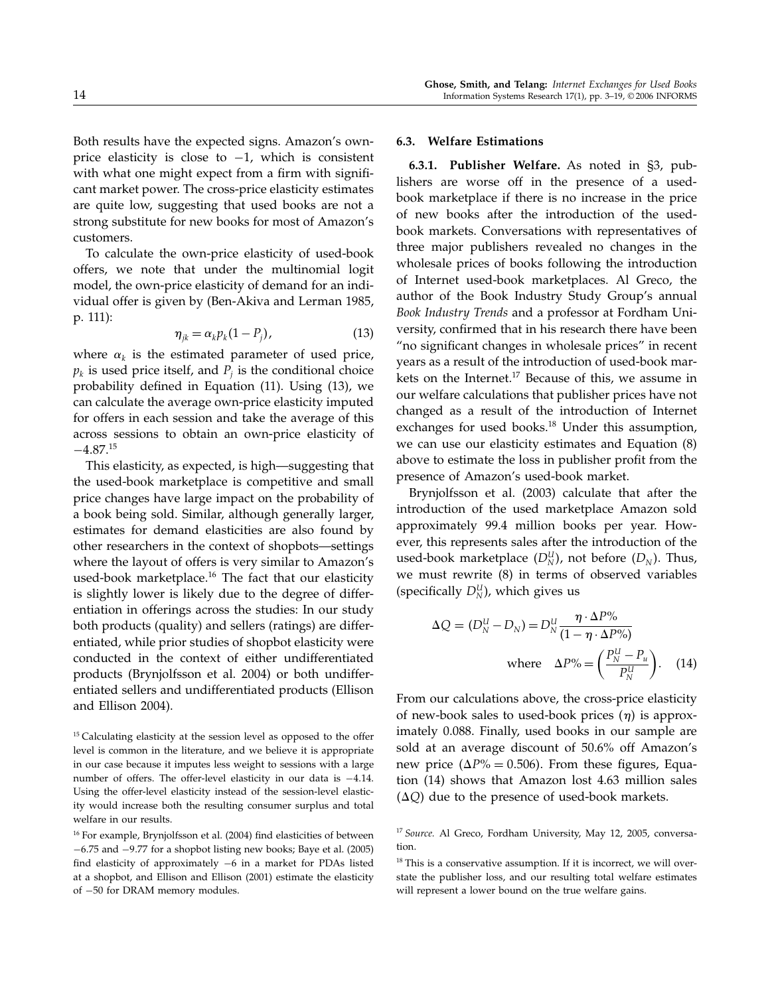Both results have the expected signs. Amazon's ownprice elasticity is close to  $-1$ , which is consistent with what one might expect from a firm with significant market power. The cross-price elasticity estimates are quite low, suggesting that used books are not a strong substitute for new books for most of Amazon's customers.

To calculate the own-price elasticity of used-book offers, we note that under the multinomial logit model, the own-price elasticity of demand for an individual offer is given by (Ben-Akiva and Lerman 1985, p. 111):

$$
\eta_{jk} = \alpha_k p_k (1 - P_j), \qquad (13)
$$

where  $\alpha_k$  is the estimated parameter of used price,  $p_k$  is used price itself, and  $P_i$  is the conditional choice probability defined in Equation (11). Using (13), we can calculate the average own-price elasticity imputed for offers in each session and take the average of this across sessions to obtain an own-price elasticity of  $-4.87.^{15}$ 

This elasticity, as expected, is high—suggesting that the used-book marketplace is competitive and small price changes have large impact on the probability of a book being sold. Similar, although generally larger, estimates for demand elasticities are also found by other researchers in the context of shopbots—settings where the layout of offers is very similar to Amazon's used-book marketplace.<sup>16</sup> The fact that our elasticity is slightly lower is likely due to the degree of differentiation in offerings across the studies: In our study both products (quality) and sellers (ratings) are differentiated, while prior studies of shopbot elasticity were conducted in the context of either undifferentiated products (Brynjolfsson et al. 2004) or both undifferentiated sellers and undifferentiated products (Ellison and Ellison 2004).

#### 6.3. Welfare Estimations

6.3.1. Publisher Welfare. As noted in §3, publishers are worse off in the presence of a usedbook marketplace if there is no increase in the price of new books after the introduction of the usedbook markets. Conversations with representatives of three major publishers revealed no changes in the wholesale prices of books following the introduction of Internet used-book marketplaces. Al Greco, the author of the Book Industry Study Group's annual Book Industry Trends and a professor at Fordham University, confirmed that in his research there have been "no significant changes in wholesale prices" in recent years as a result of the introduction of used-book markets on the Internet.<sup>17</sup> Because of this, we assume in our welfare calculations that publisher prices have not changed as a result of the introduction of Internet exchanges for used books.<sup>18</sup> Under this assumption, we can use our elasticity estimates and Equation (8) above to estimate the loss in publisher profit from the presence of Amazon's used-book market.

Brynjolfsson et al. (2003) calculate that after the introduction of the used marketplace Amazon sold approximately 99.4 million books per year. However, this represents sales after the introduction of the used-book marketplace  $(D_N^U)$ , not before  $(D_N)$ . Thus, we must rewrite (8) in terms of observed variables (specifically  $D_N^U$ ), which gives us

$$
\Delta Q = (D_N^U - D_N) = D_N^U \frac{\eta \cdot \Delta P \%}{(1 - \eta \cdot \Delta P \%)}
$$
  
where 
$$
\Delta P \% = \left(\frac{P_N^U - P_u}{P_N^U}\right).
$$
 (14)

From our calculations above, the cross-price elasticity of new-book sales to used-book prices  $(\eta)$  is approximately 0.088. Finally, used books in our sample are sold at an average discount of 50.6% off Amazon's new price ( $\Delta P\% = 0.506$ ). From these figures, Equation (14) shows that Amazon lost 4.63 million sales  $(\Delta Q)$  due to the presence of used-book markets.

<sup>&</sup>lt;sup>15</sup> Calculating elasticity at the session level as opposed to the offer level is common in the literature, and we believe it is appropriate in our case because it imputes less weight to sessions with a large number of offers. The offer-level elasticity in our data is −4.14. Using the offer-level elasticity instead of the session-level elasticity would increase both the resulting consumer surplus and total welfare in our results.

<sup>&</sup>lt;sup>16</sup> For example, Brynjolfsson et al. (2004) find elasticities of between −675 and −977 for a shopbot listing new books; Baye et al. (2005) find elasticity of approximately −6 in a market for PDAs listed at a shopbot, and Ellison and Ellison (2001) estimate the elasticity of −50 for DRAM memory modules.

<sup>&</sup>lt;sup>17</sup> Source. Al Greco, Fordham University, May 12, 2005, conversation.

<sup>&</sup>lt;sup>18</sup> This is a conservative assumption. If it is incorrect, we will overstate the publisher loss, and our resulting total welfare estimates will represent a lower bound on the true welfare gains.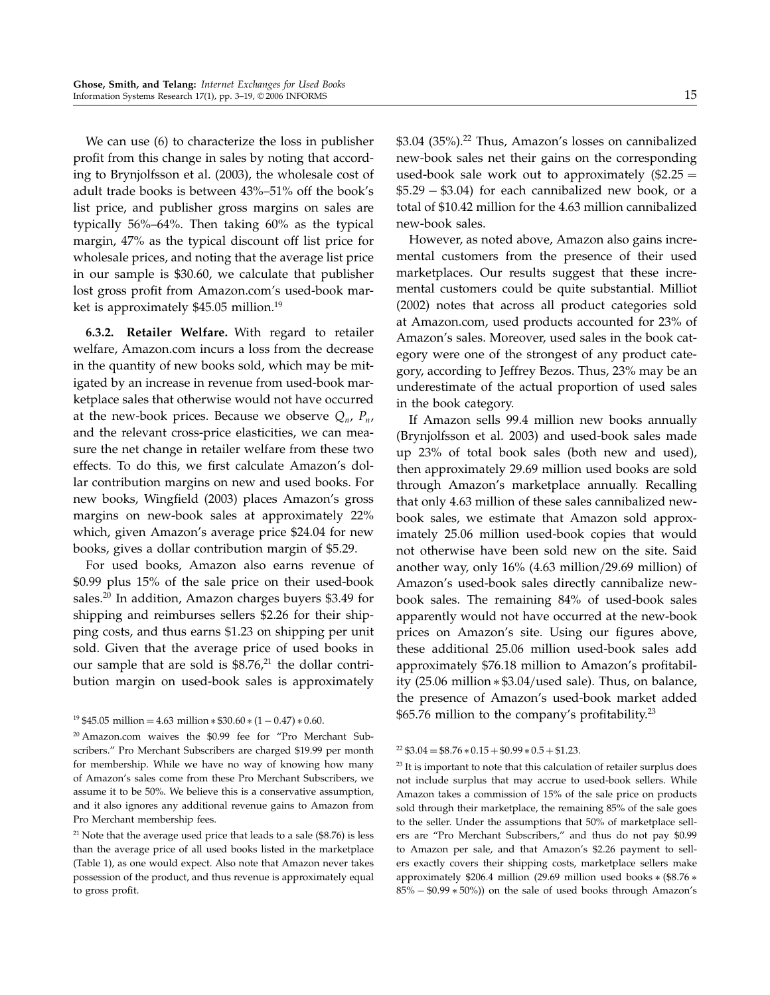We can use (6) to characterize the loss in publisher profit from this change in sales by noting that according to Brynjolfsson et al. (2003), the wholesale cost of adult trade books is between 43%–51% off the book's list price, and publisher gross margins on sales are typically 56%–64%. Then taking 60% as the typical margin, 47% as the typical discount off list price for wholesale prices, and noting that the average list price in our sample is \$30.60, we calculate that publisher lost gross profit from Amazon.com's used-book market is approximately \$45.05 million.<sup>19</sup>

6.3.2. Retailer Welfare. With regard to retailer welfare, Amazon.com incurs a loss from the decrease in the quantity of new books sold, which may be mitigated by an increase in revenue from used-book marketplace sales that otherwise would not have occurred at the new-book prices. Because we observe  $Q_n$ ,  $P_n$ , and the relevant cross-price elasticities, we can measure the net change in retailer welfare from these two effects. To do this, we first calculate Amazon's dollar contribution margins on new and used books. For new books, Wingfield (2003) places Amazon's gross margins on new-book sales at approximately 22% which, given Amazon's average price \$24.04 for new books, gives a dollar contribution margin of \$5.29.

For used books, Amazon also earns revenue of \$0.99 plus 15% of the sale price on their used-book sales.<sup>20</sup> In addition, Amazon charges buyers \$3.49 for shipping and reimburses sellers \$2.26 for their shipping costs, and thus earns \$1.23 on shipping per unit sold. Given that the average price of used books in our sample that are sold is  $$8.76<sup>21</sup>$  the dollar contribution margin on used-book sales is approximately

<sup>19</sup> \$45.05 million = 4.63 million \* \$30.60 \*  $(1 - 0.47) * 0.60$ .

 $21$  Note that the average used price that leads to a sale (\$8.76) is less than the average price of all used books listed in the marketplace (Table 1), as one would expect. Also note that Amazon never takes possession of the product, and thus revenue is approximately equal to gross profit.

\$3.04 (35%).<sup>22</sup> Thus, Amazon's losses on cannibalized new-book sales net their gains on the corresponding used-book sale work out to approximately  $(\$2.25 =$  $$5.29 - $3.04$  for each cannibalized new book, or a total of \$10.42 million for the 4.63 million cannibalized new-book sales.

However, as noted above, Amazon also gains incremental customers from the presence of their used marketplaces. Our results suggest that these incremental customers could be quite substantial. Milliot (2002) notes that across all product categories sold at Amazon.com, used products accounted for 23% of Amazon's sales. Moreover, used sales in the book category were one of the strongest of any product category, according to Jeffrey Bezos. Thus, 23% may be an underestimate of the actual proportion of used sales in the book category.

If Amazon sells 99.4 million new books annually (Brynjolfsson et al. 2003) and used-book sales made up 23% of total book sales (both new and used), then approximately 29.69 million used books are sold through Amazon's marketplace annually. Recalling that only 4.63 million of these sales cannibalized newbook sales, we estimate that Amazon sold approximately 25.06 million used-book copies that would not otherwise have been sold new on the site. Said another way, only 16% (4.63 million/29.69 million) of Amazon's used-book sales directly cannibalize newbook sales. The remaining 84% of used-book sales apparently would not have occurred at the new-book prices on Amazon's site. Using our figures above, these additional 25.06 million used-book sales add approximately \$76.18 million to Amazon's profitability (25.06 million ∗ \$3.04/used sale). Thus, on balance, the presence of Amazon's used-book market added \$65.76 million to the company's profitability. $2<sup>3</sup>$ 

<sup>20</sup> Amazon.com waives the \$0.99 fee for "Pro Merchant Subscribers." Pro Merchant Subscribers are charged \$19.99 per month for membership. While we have no way of knowing how many of Amazon's sales come from these Pro Merchant Subscribers, we assume it to be 50%. We believe this is a conservative assumption, and it also ignores any additional revenue gains to Amazon from Pro Merchant membership fees.

 $22 \$3.04 = \$8.76 * 0.15 + \$0.99 * 0.5 + \$1.23.$ 

<sup>&</sup>lt;sup>23</sup> It is important to note that this calculation of retailer surplus does not include surplus that may accrue to used-book sellers. While Amazon takes a commission of 15% of the sale price on products sold through their marketplace, the remaining 85% of the sale goes to the seller. Under the assumptions that 50% of marketplace sellers are "Pro Merchant Subscribers," and thus do not pay \$0.99 to Amazon per sale, and that Amazon's \$2.26 payment to sellers exactly covers their shipping costs, marketplace sellers make approximately \$206.4 million (29.69 million used books  $*(\$8.76 *$  $85\% - $0.99 * 50\%)$  on the sale of used books through Amazon's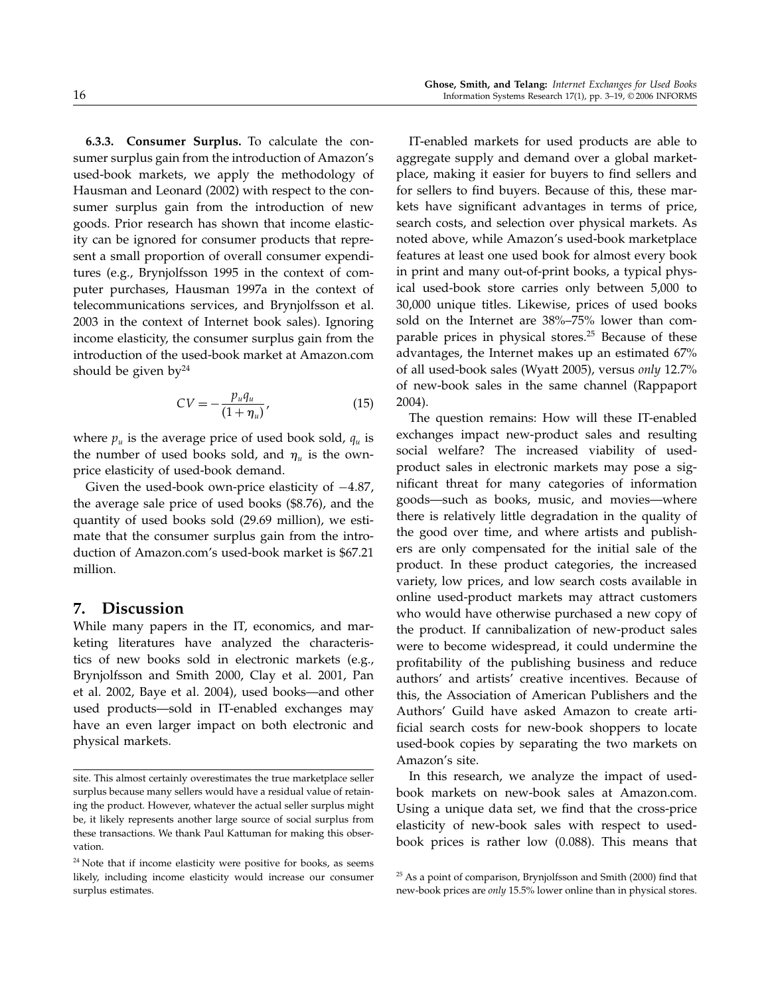6.3.3. Consumer Surplus. To calculate the consumer surplus gain from the introduction of Amazon's used-book markets, we apply the methodology of Hausman and Leonard (2002) with respect to the consumer surplus gain from the introduction of new goods. Prior research has shown that income elasticity can be ignored for consumer products that represent a small proportion of overall consumer expenditures (e.g., Brynjolfsson 1995 in the context of computer purchases, Hausman 1997a in the context of telecommunications services, and Brynjolfsson et al. 2003 in the context of Internet book sales). Ignoring

income elasticity, the consumer surplus gain from the introduction of the used-book market at Amazon.com should be given  $by<sup>24</sup>$ 

$$
CV = -\frac{p_u q_u}{(1 + \eta_u)},\tag{15}
$$

where  $p_u$  is the average price of used book sold,  $q_u$  is the number of used books sold, and  $\eta_u$  is the ownprice elasticity of used-book demand.

Given the used-book own-price elasticity of  $-4.87$ , the average sale price of used books (\$8.76), and the quantity of used books sold (29.69 million), we estimate that the consumer surplus gain from the introduction of Amazon.com's used-book market is \$67.21 million.

## 7. Discussion

While many papers in the IT, economics, and marketing literatures have analyzed the characteristics of new books sold in electronic markets (e.g., Brynjolfsson and Smith 2000, Clay et al. 2001, Pan et al. 2002, Baye et al. 2004), used books—and other used products—sold in IT-enabled exchanges may have an even larger impact on both electronic and physical markets.

IT-enabled markets for used products are able to aggregate supply and demand over a global marketplace, making it easier for buyers to find sellers and for sellers to find buyers. Because of this, these markets have significant advantages in terms of price, search costs, and selection over physical markets. As noted above, while Amazon's used-book marketplace features at least one used book for almost every book in print and many out-of-print books, a typical physical used-book store carries only between 5,000 to 30,000 unique titles. Likewise, prices of used books sold on the Internet are 38%–75% lower than comparable prices in physical stores.<sup>25</sup> Because of these advantages, the Internet makes up an estimated 67% of all used-book sales (Wyatt 2005), versus only 12.7% of new-book sales in the same channel (Rappaport 2004).

The question remains: How will these IT-enabled exchanges impact new-product sales and resulting social welfare? The increased viability of usedproduct sales in electronic markets may pose a significant threat for many categories of information goods—such as books, music, and movies—where there is relatively little degradation in the quality of the good over time, and where artists and publishers are only compensated for the initial sale of the product. In these product categories, the increased variety, low prices, and low search costs available in online used-product markets may attract customers who would have otherwise purchased a new copy of the product. If cannibalization of new-product sales were to become widespread, it could undermine the profitability of the publishing business and reduce authors' and artists' creative incentives. Because of this, the Association of American Publishers and the Authors' Guild have asked Amazon to create artificial search costs for new-book shoppers to locate used-book copies by separating the two markets on Amazon's site.

In this research, we analyze the impact of usedbook markets on new-book sales at Amazon.com. Using a unique data set, we find that the cross-price elasticity of new-book sales with respect to usedbook prices is rather low (0.088). This means that

site. This almost certainly overestimates the true marketplace seller surplus because many sellers would have a residual value of retaining the product. However, whatever the actual seller surplus might be, it likely represents another large source of social surplus from these transactions. We thank Paul Kattuman for making this observation.

<sup>&</sup>lt;sup>24</sup> Note that if income elasticity were positive for books, as seems likely, including income elasticity would increase our consumer surplus estimates.

<sup>&</sup>lt;sup>25</sup> As a point of comparison, Brynjolfsson and Smith (2000) find that new-book prices are only 15.5% lower online than in physical stores.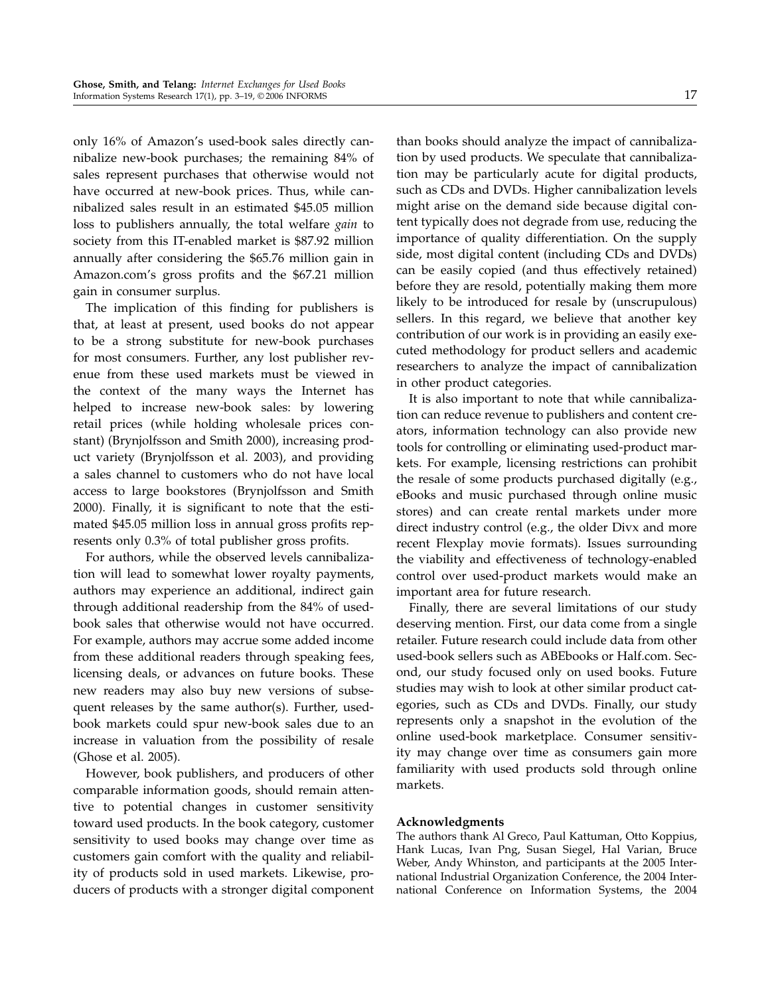only 16% of Amazon's used-book sales directly cannibalize new-book purchases; the remaining 84% of sales represent purchases that otherwise would not have occurred at new-book prices. Thus, while cannibalized sales result in an estimated \$45.05 million loss to publishers annually, the total welfare gain to society from this IT-enabled market is \$87.92 million annually after considering the \$65.76 million gain in Amazon.com's gross profits and the \$67.21 million gain in consumer surplus.

The implication of this finding for publishers is that, at least at present, used books do not appear to be a strong substitute for new-book purchases for most consumers. Further, any lost publisher revenue from these used markets must be viewed in the context of the many ways the Internet has helped to increase new-book sales: by lowering retail prices (while holding wholesale prices constant) (Brynjolfsson and Smith 2000), increasing product variety (Brynjolfsson et al. 2003), and providing a sales channel to customers who do not have local access to large bookstores (Brynjolfsson and Smith 2000). Finally, it is significant to note that the estimated \$45.05 million loss in annual gross profits represents only 0.3% of total publisher gross profits.

For authors, while the observed levels cannibalization will lead to somewhat lower royalty payments, authors may experience an additional, indirect gain through additional readership from the 84% of usedbook sales that otherwise would not have occurred. For example, authors may accrue some added income from these additional readers through speaking fees, licensing deals, or advances on future books. These new readers may also buy new versions of subsequent releases by the same author(s). Further, usedbook markets could spur new-book sales due to an increase in valuation from the possibility of resale (Ghose et al. 2005).

However, book publishers, and producers of other comparable information goods, should remain attentive to potential changes in customer sensitivity toward used products. In the book category, customer sensitivity to used books may change over time as customers gain comfort with the quality and reliability of products sold in used markets. Likewise, producers of products with a stronger digital component than books should analyze the impact of cannibalization by used products. We speculate that cannibalization may be particularly acute for digital products, such as CDs and DVDs. Higher cannibalization levels might arise on the demand side because digital content typically does not degrade from use, reducing the importance of quality differentiation. On the supply side, most digital content (including CDs and DVDs) can be easily copied (and thus effectively retained) before they are resold, potentially making them more likely to be introduced for resale by (unscrupulous) sellers. In this regard, we believe that another key contribution of our work is in providing an easily executed methodology for product sellers and academic researchers to analyze the impact of cannibalization in other product categories.

It is also important to note that while cannibalization can reduce revenue to publishers and content creators, information technology can also provide new tools for controlling or eliminating used-product markets. For example, licensing restrictions can prohibit the resale of some products purchased digitally (e.g., eBooks and music purchased through online music stores) and can create rental markets under more direct industry control (e.g., the older Divx and more recent Flexplay movie formats). Issues surrounding the viability and effectiveness of technology-enabled control over used-product markets would make an important area for future research.

Finally, there are several limitations of our study deserving mention. First, our data come from a single retailer. Future research could include data from other used-book sellers such as ABEbooks or Half.com. Second, our study focused only on used books. Future studies may wish to look at other similar product categories, such as CDs and DVDs. Finally, our study represents only a snapshot in the evolution of the online used-book marketplace. Consumer sensitivity may change over time as consumers gain more familiarity with used products sold through online markets.

#### Acknowledgments

The authors thank Al Greco, Paul Kattuman, Otto Koppius, Hank Lucas, Ivan Png, Susan Siegel, Hal Varian, Bruce Weber, Andy Whinston, and participants at the 2005 International Industrial Organization Conference, the 2004 International Conference on Information Systems, the 2004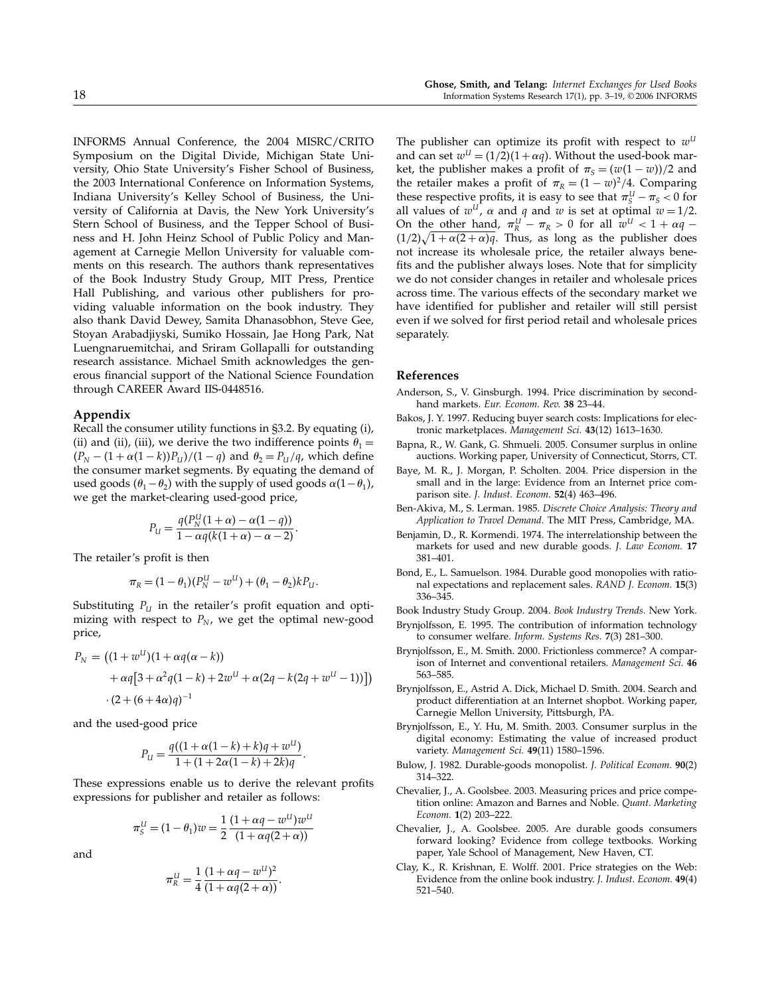INFORMS Annual Conference, the 2004 MISRC/CRITO Symposium on the Digital Divide, Michigan State University, Ohio State University's Fisher School of Business, the 2003 International Conference on Information Systems, Indiana University's Kelley School of Business, the University of California at Davis, the New York University's Stern School of Business, and the Tepper School of Business and H. John Heinz School of Public Policy and Management at Carnegie Mellon University for valuable comments on this research. The authors thank representatives of the Book Industry Study Group, MIT Press, Prentice Hall Publishing, and various other publishers for providing valuable information on the book industry. They also thank David Dewey, Samita Dhanasobhon, Steve Gee, Stoyan Arabadjiyski, Sumiko Hossain, Jae Hong Park, Nat Luengnaruemitchai, and Sriram Gollapalli for outstanding research assistance. Michael Smith acknowledges the generous financial support of the National Science Foundation through CAREER Award IIS-0448516.

#### Appendix

Recall the consumer utility functions in §3.2. By equating (i), (ii) and (ii), (iii), we derive the two indifference points  $\theta_1 =$  $(P_N - (1 + \alpha(1 - k))P_U)/(1 - q)$  and  $\theta_2 = P_U/q$ , which define the consumer market segments. By equating the demand of used goods  $(θ<sub>1</sub>−θ<sub>2</sub>)$  with the supply of used goods  $α(1−θ<sub>1</sub>)$ , we get the market-clearing used-good price,

$$
P_{U} = \frac{q(P_N^U(1+\alpha) - \alpha(1-q))}{1 - \alpha q(k(1+\alpha) - \alpha - 2)}
$$

.

The retailer's profit is then

$$
\pi_R = (1 - \theta_1)(P_N^U - w^U) + (\theta_1 - \theta_2)kP_U.
$$

Substituting  $P_U$  in the retailer's profit equation and optimizing with respect to  $P_N$ , we get the optimal new-good price,

$$
P_N = ((1 + w^U)(1 + \alpha q(\alpha - k))
$$
  
+  $\alpha q[3 + \alpha^2 q(1 - k) + 2w^U + \alpha(2q - k(2q + w^U - 1))])$   
·  $(2 + (6 + 4\alpha)q)^{-1}$ 

and the used-good price

$$
P_{U} = \frac{q((1+\alpha(1-k)+k)q + w^{U})}{1 + (1+2\alpha(1-k)+2k)q}.
$$

These expressions enable us to derive the relevant profits expressions for publisher and retailer as follows:

$$
\pi_S^U = (1 - \theta_1)w = \frac{1}{2} \frac{(1 + \alpha q - w^U)w^U}{(1 + \alpha q(2 + \alpha))}
$$

and

$$
\pi_R^{U} = \frac{1}{4} \frac{(1 + \alpha q - w^{U})^2}{(1 + \alpha q (2 + \alpha))}.
$$

The publisher can optimize its profit with respect to  $w^U$ and can set  $w^U = (1/2)(1+\alpha q)$ . Without the used-book market, the publisher makes a profit of  $\pi_s = (w(1 - w))/2$  and the retailer makes a profit of  $\pi_R = (1 - w)^2/4$ . Comparing these respective profits, it is easy to see that  $\pi_S^U - \pi_S < 0$  for all values of  $w^U$ ,  $\alpha$  and  $q$  and  $w$  is set at optimal  $w = 1/2$ . On the other hand,  $\pi_R^U - \pi_R > 0$  for all  $w^U < 1 + \alpha q$  $(1/2)\sqrt{1+\alpha(2+\alpha)}q$ . Thus, as long as the publisher does not increase its wholesale price, the retailer always benefits and the publisher always loses. Note that for simplicity we do not consider changes in retailer and wholesale prices across time. The various effects of the secondary market we have identified for publisher and retailer will still persist even if we solved for first period retail and wholesale prices separately.

#### References

- Anderson, S., V. Ginsburgh. 1994. Price discrimination by secondhand markets. Eur. Econom. Rev. 38 23-44.
- Bakos, J. Y. 1997. Reducing buyer search costs: Implications for electronic marketplaces. Management Sci. 43(12) 1613–1630.
- Bapna, R., W. Gank, G. Shmueli. 2005. Consumer surplus in online auctions. Working paper, University of Connecticut, Storrs, CT.
- Baye, M. R., J. Morgan, P. Scholten. 2004. Price dispersion in the small and in the large: Evidence from an Internet price comparison site. J. Indust. Econom. 52(4) 463–496.
- Ben-Akiva, M., S. Lerman. 1985. Discrete Choice Analysis: Theory and Application to Travel Demand. The MIT Press, Cambridge, MA.
- Benjamin, D., R. Kormendi. 1974. The interrelationship between the markets for used and new durable goods. J. Law Econom. 17 381–401.
- Bond, E., L. Samuelson. 1984. Durable good monopolies with rational expectations and replacement sales. RAND J. Econom. 15(3) 336–345.
- Book Industry Study Group. 2004. Book Industry Trends. New York.
- Brynjolfsson, E. 1995. The contribution of information technology to consumer welfare. Inform. Systems Res. 7(3) 281–300.
- Brynjolfsson, E., M. Smith. 2000. Frictionless commerce? A comparison of Internet and conventional retailers. Management Sci. 46 563–585.
- Brynjolfsson, E., Astrid A. Dick, Michael D. Smith. 2004. Search and product differentiation at an Internet shopbot. Working paper, Carnegie Mellon University, Pittsburgh, PA.
- Brynjolfsson, E., Y. Hu, M. Smith. 2003. Consumer surplus in the digital economy: Estimating the value of increased product variety. Management Sci. 49(11) 1580-1596.
- Bulow, J. 1982. Durable-goods monopolist. J. Political Econom. 90(2) 314–322.
- Chevalier, J., A. Goolsbee. 2003. Measuring prices and price competition online: Amazon and Barnes and Noble. Quant. Marketing Econom. 1(2) 203–222.
- Chevalier, J., A. Goolsbee. 2005. Are durable goods consumers forward looking? Evidence from college textbooks. Working paper, Yale School of Management, New Haven, CT.
- Clay, K., R. Krishnan, E. Wolff. 2001. Price strategies on the Web: Evidence from the online book industry. J. Indust. Econom. 49(4) 521–540.